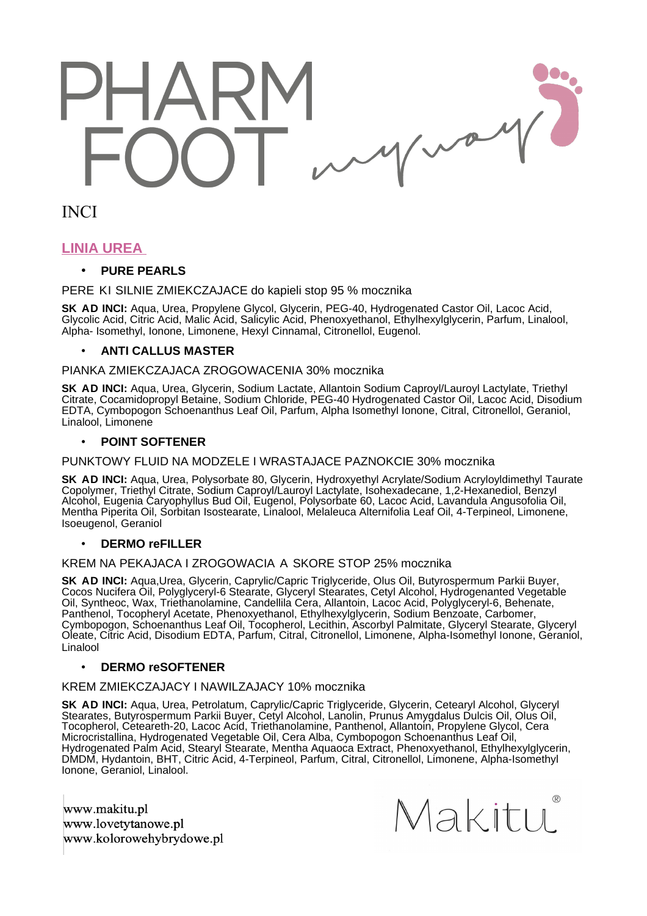# $\sim$

INCI

# **LINIA UREA**

# • **PURE PEARLS**

PERE KI SILNIE ZMIE KCZAJA CE do ka pieli sto p 95 % mocznika

**SK AD INCI:** Aqua, Urea, Propylene Glycol, Glycerin, PEG-40, Hydrogenated Castor Oil, Lacoc Acid, Glycolic Acid, Citric Acid, Malic Acid, Salicylic Acid, Phenoxyethanol, Ethylhexylglycerin, Parfum, Linalool, Alpha- Isomethyl, Ionone, Limonene, Hexyl Cinnamal, Citronellol, Eugenol.

# • **ANTI CALLUS MASTER**

#### PIANKA ZMIE KCZAJA CA ZROGOWACENIA 30% mocznika

**SK AD INCI:** Aqua, Urea, Glycerin, Sodium Lactate, Allantoin Sodium Caproyl/Lauroyl Lactylate, Triethyl Citrate, Cocamidopropyl Betaine, Sodium Chloride, PEG-40 Hydrogenated Castor Oil, Lacoc Acid, Disodium EDTA, Cymbopogon Schoenanthus Leaf Oil, Parfum, Alpha Isomethyl Ionone, Citral, Citronellol, Geraniol, Linalool, Limonene

# • **POINT SOFTENER**

PUNKTOWY FLUID NA MODZELE I WRASTAJACE PAZNOKCIE 30% mocznika

**SK AD INCI:** Aqua, Urea, Polysorbate 80, Glycerin, Hydroxyethyl Acrylate/Sodium Acryloyldimethyl Taurate Copolymer, Triethyl Citrate, Sodium Caproyl/Lauroyl Lactylate, Isohexadecane, 1,2-Hexanediol, Benzyl Alcohol, Eugenia Caryophyllus Bud Oil, Eugenol, Polysorbate 60, Lacoc Acid, Lavandula Angusofolia Oil, Mentha Piperita Oil, Sorbitan Isostearate, Linalool, Melaleuca Alternifolia Leaf Oil, 4-Terpineol, Limonene, Isoeugenol, Geraniol

# • **DERMO reFILLER**

#### KREM NA PEKAJACA I ZROGOWACIA A SKORE STOP 25% mocznika

**SK AD INCI:** Aqua,Urea, Glycerin, Caprylic/Capric Triglyceride, Olus Oil, Butyrospermum Parkii Buyer, Cocos Nucifera Oil, Polyglyceryl-6 Stearate, Glyceryl Stearates, Cetyl Alcohol, Hydrogenanted Vegetable Oil, Syntheoc, Wax, Triethanolamine, Candellila Cera, Allantoin, Lacoc Acid, Polyglyceryl-6, Behenate, Panthenol, Tocopheryl Acetate, Phenoxyethanol, Ethylhexylglycerin, Sodium Benzoate, Carbomer, Cymbopogon, Schoenanthus Leaf Oil, Tocopherol, Lecithin, Ascorbyl Palmitate, Glyceryl Stearate, Glyceryl Oleate, Citric Acid, Disodium EDTA, Parfum, Citral, Citronellol, Limonene, Alpha-Isomethyl Ionone, Geraniol, Linalool

#### • **DERMO reSOFTENER**

#### KREM ZMIE KCZAJA CY I NAWILZ AJA CY 10% mocznika

**SK AD INCI:** Aqua, Urea, Petrolatum, Caprylic/Capric Triglyceride, Glycerin, Cetearyl Alcohol, Glyceryl Stearates, Butyrospermum Parkii Buyer, Cetyl Alcohol, Lanolin, Prunus Amygdalus Dulcis Oil, Olus Oil, Tocopherol, Ceteareth-20, Lacoc Acid, Triethanolamine, Panthenol, Allantoin, Propylene Glycol, Cera Microcristallina, Hydrogenated Vegetable Oil, Cera Alba, Cymbopogon Schoenanthus Leaf Oil, Hydrogenated Palm Acid, Stearyl Stearate, Mentha Aquaoca Extract, Phenoxyethanol, Ethylhexylglycerin, DMDM, Hydantoin, BHT, Citric Acid, 4-Terpineol, Parfum, Citral, Citronellol, Limonene, Alpha-Isomethyl Ionone, Geraniol, Linalool.

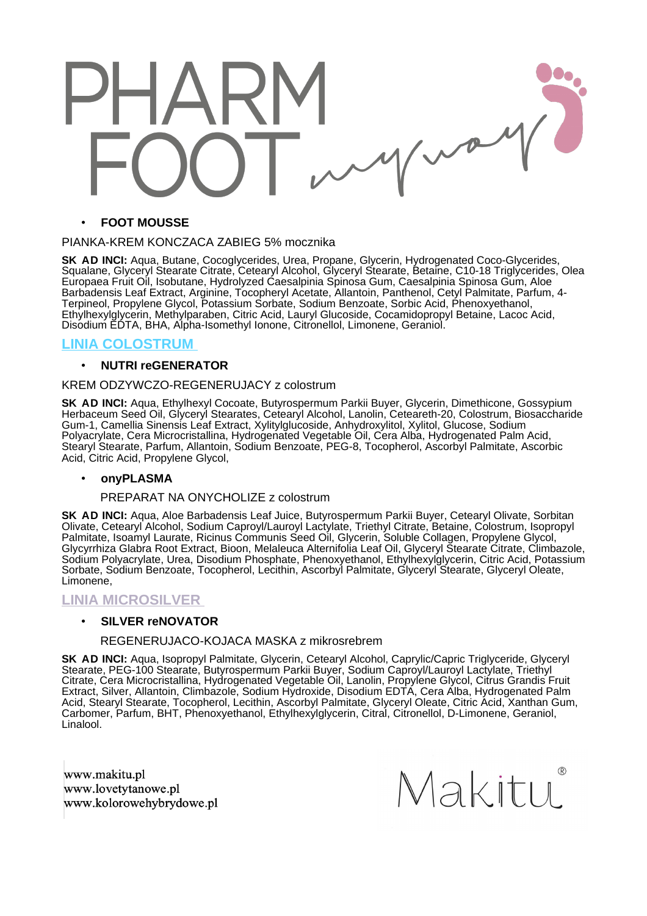Wo

#### • **FOOT MOUSSE**

#### PIANKA-KREM KON CZA CA ZABIEG 5% mocznika

**SK AD INCI:** Aqua, Butane, Cocoglycerides, Urea, Propane, Glycerin, Hydrogenated Coco-Glycerides, Squalane, Glyceryl Stearate Citrate, Cetearyl Alcohol, Glyceryl Stearate, Betaine, C10-18 Triglycerides, Olea Europaea Fruit Oil, Isobutane, Hydrolyzed Caesalpinia Spinosa Gum, Caesalpinia Spinosa Gum, Aloe Barbadensis Leaf Extract, Arginine, Tocopheryl Acetate, Allantoin, Panthenol, Cetyl Palmitate, Parfum, 4- Terpineol, Propylene Glycol, Potassium Sorbate, Sodium Benzoate, Sorbic Acid, Phenoxyethanol, Ethylhexylglycerin, Methylparaben, Citric Acid, Lauryl Glucoside, Cocamidopropyl Betaine, Lacoc Acid, Disodium EDTA, BHA, Alpha-Isomethyl Ionone, Citronellol, Limonene, Geraniol.

# **LINIA COLOSTRUM**

#### • **NUTRI reGENERATOR**

#### KREM ODZYWCZO-REGENERUJACY z colostrum

**SK AD INCI:** Aqua, Ethylhexyl Cocoate, Butyrospermum Parkii Buyer, Glycerin, Dimethicone, Gossypium Herbaceum Seed Oil, Glyceryl Stearates, Cetearyl Alcohol, Lanolin, Ceteareth-20, Colostrum, Biosaccharide Gum-1, Camellia Sinensis Leaf Extract, Xylitylglucoside, Anhydroxylitol, Xylitol, Glucose, Sodium Polyacrylate, Cera Microcristallina, Hydrogenated Vegetable Oil, Cera Alba, Hydrogenated Palm Acid, Stearyl Stearate, Parfum, Allantoin, Sodium Benzoate, PEG-8, Tocopherol, Ascorbyl Palmitate, Ascorbic Acid, Citric Acid, Propylene Glycol,

#### • **onyPLASMA**

#### PREPARAT NA ONYCHOLIZE z colostrum

**SK AD INCI:** Aqua, Aloe Barbadensis Leaf Juice, Butyrospermum Parkii Buyer, Cetearyl Olivate, Sorbitan Olivate, Cetearyl Alcohol, Sodium Caproyl/Lauroyl Lactylate, Triethyl Citrate, Betaine, Colostrum, Isopropyl Palmitate, Isoamyl Laurate, Ricinus Communis Seed Oil, Glycerin, Soluble Collagen, Propylene Glycol, Glycyrrhiza Glabra Root Extract, Bioon, Melaleuca Alternifolia Leaf Oil, Glyceryl Stearate Citrate, Climbazole, Sodium Polyacrylate, Urea, Disodium Phosphate, Phenoxyethanol, Ethylhexylglycerin, Citric Acid, Potassium Sorbate, Sodium Benzoate, Tocopherol, Lecithin, Ascorbyl Palmitate, Glyceryl Stearate, Glyceryl Oleate, Limonene,

# **LINIA MICROSILVER**

#### • **SILVER reNOVATOR**

#### REGENERUJACO-KOJACA MASKA z mikrosrebrem

**SK AD INCI:** Aqua, Isopropyl Palmitate, Glycerin, Cetearyl Alcohol, Caprylic/Capric Triglyceride, Glyceryl Stearate, PEG-100 Stearate, Butyrospermum Parkii Buyer, Sodium Caproyl/Lauroyl Lactylate, Triethyl Citrate, Cera Microcristallina, Hydrogenated Vegetable Oil, Lanolin, Propylene Glycol, Citrus Grandis Fruit Extract, Silver, Allantoin, Climbazole, Sodium Hydroxide, Disodium EDTA, Cera Alba, Hydrogenated Palm Acid, Stearyl Stearate, Tocopherol, Lecithin, Ascorbyl Palmitate, Glyceryl Oleate, Citric Acid, Xanthan Gum, Carbomer, Parfum, BHT, Phenoxyethanol, Ethylhexylglycerin, Citral, Citronellol, D-Limonene, Geraniol, Linalool.

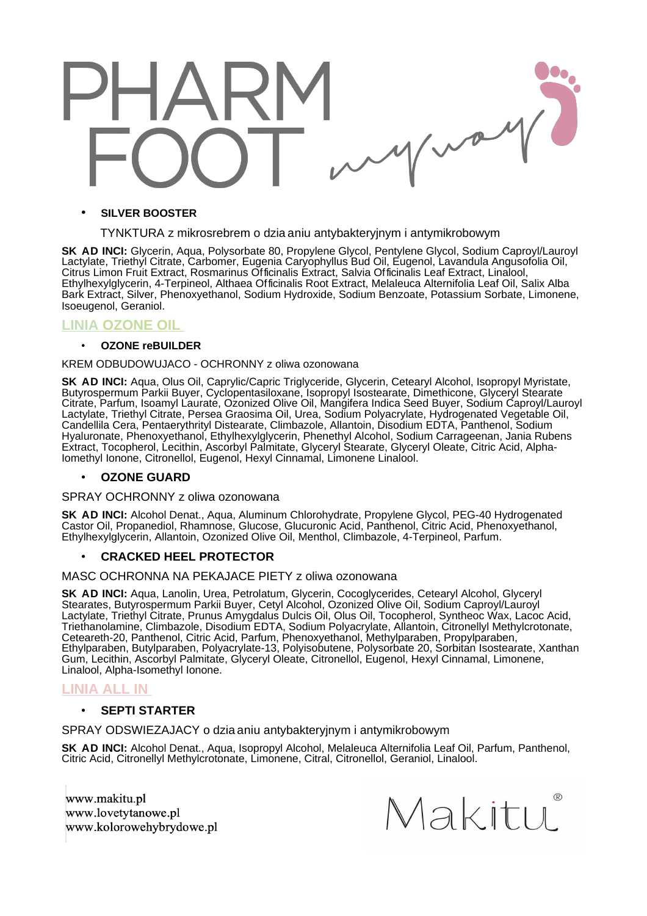

#### • **SILVER BOOSTER**

TYNKTURA z mikrosrebrem o dziaaniu antybakteryjnym i antymikrobowym

**SK AD INCI:** Glycerin, Aqua, Polysorbate 80, Propylene Glycol, Pentylene Glycol, Sodium Caproyl/Lauroyl Lactylate, Triethyl Citrate, Carbomer, Eugenia Caryophyllus Bud Oil, Eugenol, Lavandula Angusofolia Oil, Citrus Limon Fruit Extract, Rosmarinus Officinalis Extract, Salvia Officinalis Leaf Extract, Linalool, Ethylhexylglycerin, 4-Terpineol, Althaea Officinalis Root Extract, Melaleuca Alternifolia Leaf Oil, Salix Alba Bark Extract, Silver, Phenoxyethanol, Sodium Hydroxide, Sodium Benzoate, Potassium Sorbate, Limonene, Isoeugenol, Geraniol.

# **LINIAOZONE OIL**

#### • **OZONE reBUILDER**

#### KREM ODBUDOWUJACO - OCHRONNY z oliwa ozonowana

**SK AD INCI:** Aqua, Olus Oil, Caprylic/Capric Triglyceride, Glycerin, Cetearyl Alcohol, Isopropyl Myristate, Butyrospermum Parkii Buyer, Cyclopentasiloxane, Isopropyl Isostearate, Dimethicone, Glyceryl Stearate Citrate, Parfum, Isoamyl Laurate, Ozonized Olive Oil, Mangifera Indica Seed Buyer, Sodium Caproyl/Lauroyl Lactylate, Triethyl Citrate, Persea Graosima Oil, Urea, Sodium Polyacrylate, Hydrogenated Vegetable Oil, Candellila Cera, Pentaerythrityl Distearate, Climbazole, Allantoin, Disodium EDTA, Panthenol, Sodium Hyaluronate, Phenoxyethanol, Ethylhexylglycerin, Phenethyl Alcohol, Sodium Carrageenan, Jania Rubens Extract, Tocopherol, Lecithin, Ascorbyl Palmitate, Glyceryl Stearate, Glyceryl Oleate, Citric Acid, Alpha-Iomethyl Ionone, Citronellol, Eugenol, Hexyl Cinnamal, Limonene Linalool.

#### • **OZONE GUARD**

#### SPRAY OCHRONNY z oliwa ozonowana

**SK AD INCI:** Alcohol Denat., Aqua, Aluminum Chlorohydrate, Propylene Glycol, PEG-40 Hydrogenated Castor Oil, Propanediol, Rhamnose, Glucose, Glucuronic Acid, Panthenol, Citric Acid, Phenoxyethanol, Ethylhexylglycerin, Allantoin, Ozonized Olive Oil, Menthol, Climbazole, 4-Terpineol, Parfum.

#### • **CRACKED HEEL PROTECTOR**

MAS C OCHRONNA NA PE KAJA CE PIE TY z oliwa ozonowana

**SK AD INCI:** Aqua, Lanolin, Urea, Petrolatum, Glycerin, Cocoglycerides, Cetearyl Alcohol, Glyceryl Stearates, Butyrospermum Parkii Buyer, Cetyl Alcohol, Ozonized Olive Oil, Sodium Caproyl/Lauroyl Lactylate, Triethyl Citrate, Prunus Amygdalus Dulcis Oil, Olus Oil, Tocopherol, Syntheoc Wax, Lacoc Acid, Triethanolamine, Climbazole, Disodium EDTA, Sodium Polyacrylate, Allantoin, Citronellyl Methylcrotonate, Ceteareth-20, Panthenol, Citric Acid, Parfum, Phenoxyethanol, Methylparaben, Propylparaben, Ethylparaben, Butylparaben, Polyacrylate-13, Polyisobutene, Polysorbate 20, Sorbitan Isostearate, Xanthan Gum, Lecithin, Ascorbyl Palmitate, Glyceryl Oleate, Citronellol, Eugenol, Hexyl Cinnamal, Limonene, Linalool, Alpha-Isomethyl Ionone.

# **LINIA ALL IN**

#### • **SEPTI STARTER**

SPRAY ODS WIEZ AJA CY o dzia aniu antybakteryjnym i antymikrobowym

**SK AD INCI:** Alcohol Denat., Aqua, Isopropyl Alcohol, Melaleuca Alternifolia Leaf Oil, Parfum, Panthenol, Citric Acid, Citronellyl Methylcrotonate, Limonene, Citral, Citronellol, Geraniol, Linalool.